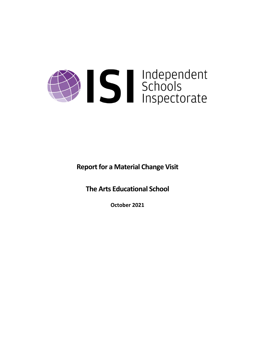# Sandependent

**Report for a Material Change Visit** 

**The Arts Educational School**

**October 2021**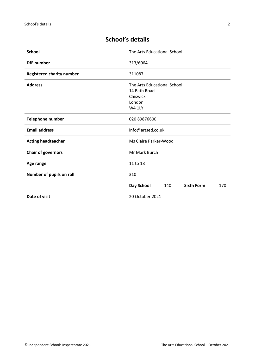| <b>School</b>                    | The Arts Educational School                                                        |  |  |
|----------------------------------|------------------------------------------------------------------------------------|--|--|
| <b>DfE</b> number                | 313/6064                                                                           |  |  |
| <b>Registered charity number</b> | 311087                                                                             |  |  |
| <b>Address</b>                   | The Arts Educational School<br>14 Bath Road<br>Chiswick<br>London<br><b>W4 1LY</b> |  |  |
| <b>Telephone number</b>          | 020 89876600                                                                       |  |  |
| <b>Email address</b>             | info@artsed.co.uk                                                                  |  |  |
| <b>Acting headteacher</b>        | Ms Claire Parker-Wood                                                              |  |  |
| <b>Chair of governors</b>        | Mr Mark Burch                                                                      |  |  |
| Age range                        | 11 to 18                                                                           |  |  |
| Number of pupils on roll         | 310                                                                                |  |  |
|                                  | Day School<br><b>Sixth Form</b><br>140<br>170                                      |  |  |
| Date of visit                    | 20 October 2021                                                                    |  |  |

# **School's details**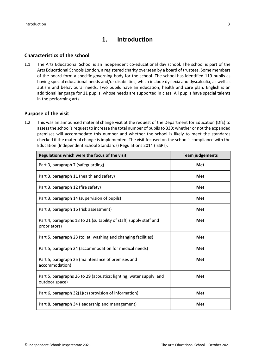# **1. Introduction**

### **Characteristics of the school**

1.1 The Arts Educational School is an independent co-educational day school. The school is part of the Arts Educational Schools London, a registered charity overseen by a board of trustees. Some members of the board form a specific governing body for the school. The school has identified 119 pupils as having special educational needs and/or disabilities, which include dyslexia and dyscalculia, as well as autism and behavioural needs. Two pupils have an education, health and care plan. English is an additional language for 11 pupils, whose needs are supported in class. All pupils have special talents in the performing arts.

### **Purpose of the visit**

1.2 This was an announced material change visit at the request of the Department for Education (DfE) to assess the school's request to increase the total number of pupils to 330; whether or not the expanded premises will accommodate this number and whether the school is likely to meet the standards checked if the material change is implemented. The visit focused on the school's compliance with the Education (Independent School Standards) Regulations 2014 (ISSRs).

| Regulations which were the focus of the visit                                         | <b>Team judgements</b> |
|---------------------------------------------------------------------------------------|------------------------|
| Part 3, paragraph 7 (safeguarding)                                                    | Met                    |
| Part 3, paragraph 11 (health and safety)                                              | Met                    |
| Part 3, paragraph 12 (fire safety)                                                    | <b>Met</b>             |
| Part 3, paragraph 14 (supervision of pupils)                                          | Met                    |
| Part 3, paragraph 16 (risk assessment)                                                | Met                    |
| Part 4, paragraphs 18 to 21 (suitability of staff, supply staff and<br>proprietors)   | Met                    |
| Part 5, paragraph 23 (toilet, washing and changing facilities)                        | <b>Met</b>             |
| Part 5, paragraph 24 (accommodation for medical needs)                                | Met                    |
| Part 5, paragraph 25 (maintenance of premises and<br>accommodation)                   | Met                    |
| Part 5, paragraphs 26 to 29 (acoustics; lighting; water supply; and<br>outdoor space) | Met                    |
| Part 6, paragraph 32(1)(c) (provision of information)                                 | <b>Met</b>             |
| Part 8, paragraph 34 (leadership and management)                                      | Met                    |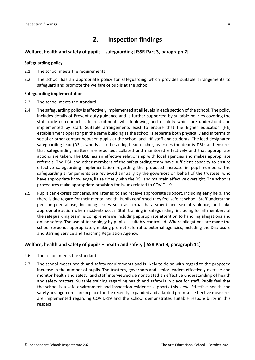# **2. Inspection findings**

### **Welfare, health and safety of pupils – safeguarding [ISSR Part 3, paragraph 7]**

### **Safeguarding policy**

- 2.1 The school meets the requirements.
- 2.2 The school has an appropriate policy for safeguarding which provides suitable arrangements to safeguard and promote the welfare of pupils at the school.

### **Safeguarding implementation**

- 2.3 The school meets the standard.
- 2.4 The safeguarding policy is effectively implemented at all levelsin each section of the school. The policy includes details of Prevent duty guidance and is further supported by suitable policies covering the staff code of conduct, safe recruitment, whistleblowing and e-safety which are understood and implemented by staff. Suitable arrangements exist to ensure that the higher education (HE) establishment operating in the same building as the school is separate both physically and in terms of social or other contact between pupils at the school and HE staff and students. The lead designated safeguarding lead (DSL), who is also the acting headteacher, oversees the deputy DSLs and ensures that safeguarding matters are reported, collated and monitored effectively and that appropriate actions are taken. The DSL has an effective relationship with local agencies and makes appropriate referrals. The DSL and other members of the safeguarding team have sufficient capacity to ensure effective safeguarding implementation regarding the proposed increase in pupil numbers. The safeguarding arrangements are reviewed annually by the governors on behalf of the trustees, who have appropriate knowledge, liaise closely with the DSL and maintain effective oversight. The school's procedures make appropriate provision for issues related to COVID-19.
- 2.5 Pupils can express concerns, are listened to and receive appropriate support, including early help, and there is due regard for their mental health. Pupils confirmed they feel safe at school. Staff understand peer-on-peer abuse, including issues such as sexual harassment and sexual violence, and take appropriate action when incidents occur. Staff training in safeguarding, including for all members of the safeguarding team, is comprehensive including appropriate attention to handling allegations and online safety. The use of technology by pupils is suitably controlled. Where allegations are made the school responds appropriately making prompt referral to external agencies, including the Disclosure and Barring Service and Teaching Regulation Agency.

### **Welfare, health and safety of pupils – health and safety [ISSR Part 3, paragraph 11]**

- 2.6 The school meets the standard.
- 2.7 The school meets health and safety requirements and is likely to do so with regard to the proposed increase in the number of pupils. The trustees, governors and senior leaders effectively oversee and monitor health and safety, and staff interviewed demonstrated an effective understanding of health and safety matters. Suitable training regarding health and safety is in place for staff. Pupils feel that the school is a safe environment and inspection evidence supports this view. Effective health and safety arrangements are in place for the recently expanded and adapted premises. Effective measures are implemented regarding COVID-19 and the school demonstrates suitable responsibility in this respect.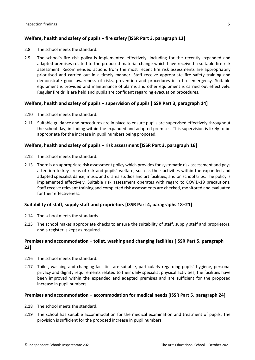### **Welfare, health and safety of pupils – fire safety [ISSR Part 3, paragraph 12]**

- 2.8 The school meets the standard.
- 2.9 The school's fire risk policy is implemented effectively, including for the recently expanded and adapted premises related to the proposed material change which have received a suitable fire risk assessment. Recommended actions from the most recent fire risk assessments are appropriately prioritised and carried out in a timely manner. Staff receive appropriate fire safety training and demonstrate good awareness of risks, prevention and procedures in a fire emergency. Suitable equipment is provided and maintenance of alarms and other equipment is carried out effectively. Regular fire drills are held and pupils are confident regarding evacuation procedures.

### **Welfare, health and safety of pupils – supervision of pupils [ISSR Part 3, paragraph 14]**

- 2.10 The school meets the standard.
- 2.11 Suitable guidance and procedures are in place to ensure pupils are supervised effectively throughout the school day, including within the expanded and adapted premises. This supervision is likely to be appropriate for the increase in pupil numbers being proposed.

### **Welfare, health and safety of pupils – risk assessment [ISSR Part 3, paragraph 16]**

- 2.12 The school meets the standard.
- 2.13 There is an appropriate risk assessment policy which provides for systematic risk assessment and pays attention to key areas of risk and pupils' welfare, such as their activities within the expanded and adapted specialist dance, music and drama studios and art facilities, and on school trips. The policy is implemented effectively. Suitable risk assessment operates with regard to COVID-19 precautions. Staff receive relevant training and completed risk assessments are checked, monitored and evaluated for their effectiveness.

### **Suitability of staff, supply staff and proprietors [ISSR Part 4, paragraphs 18–21]**

- 2.14 The school meets the standards.
- 2.15 The school makes appropriate checks to ensure the suitability of staff, supply staff and proprietors, and a register is kept as required.

### **Premises and accommodation – toilet, washing and changing facilities [ISSR Part 5, paragraph 23]**

- 2.16 The school meets the standard.
- 2.17 Toilet, washing and changing facilities are suitable, particularly regarding pupils' hygiene, personal privacy and dignity requirements related to their daily specialist physical activities; the facilities have been improved within the expanded and adapted premises and are sufficient for the proposed increase in pupil numbers.

### **Premises and accommodation – accommodation for medical needs [ISSR Part 5, paragraph 24]**

- 2.18 The school meets the standard.
- 2.19 The school has suitable accommodation for the medical examination and treatment of pupils. The provision is sufficient for the proposed increase in pupil numbers.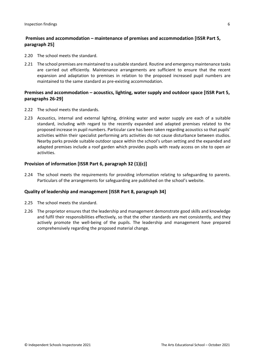### **Premises and accommodation – maintenance of premises and accommodation [ISSR Part 5, paragraph 25]**

- 2.20 The school meets the standard.
- 2.21 The school premises are maintained to a suitable standard. Routine and emergency maintenance tasks are carried out efficiently. Maintenance arrangements are sufficient to ensure that the recent expansion and adaptation to premises in relation to the proposed increased pupil numbers are maintained to the same standard as pre-existing accommodation.

### **Premises and accommodation – acoustics, lighting, water supply and outdoor space [ISSR Part 5, paragraphs 26-29]**

- 2.22 The school meets the standards.
- 2.23 Acoustics, internal and external lighting, drinking water and water supply are each of a suitable standard, including with regard to the recently expanded and adapted premises related to the proposed increase in pupil numbers. Particular care has been taken regarding acoustics so that pupils' activities within their specialist performing arts activities do not cause disturbance between studios. Nearby parks provide suitable outdoor space within the school's urban setting and the expanded and adapted premises include a roof garden which provides pupils with ready access on site to open air activities.

### **Provision of information [ISSR Part 6, paragraph 32 (1)(c)]**

2.24 The school meets the requirements for providing information relating to safeguarding to parents. Particulars of the arrangements for safeguarding are published on the school's website.

### **Quality of leadership and management [ISSR Part 8, paragraph 34]**

- 2.25 The school meets the standard.
- 2.26 The proprietor ensures that the leadership and management demonstrate good skills and knowledge and fulfil their responsibilities effectively, so that the other standards are met consistently, and they actively promote the well-being of the pupils. The leadership and management have prepared comprehensively regarding the proposed material change.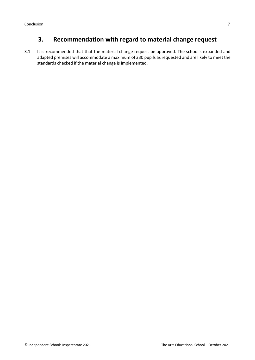# **3. Recommendation with regard to material change request**

3.1 It is recommended that that the material change request be approved. The school's expanded and adapted premises will accommodate a maximum of 330 pupils as requested and are likely to meet the standards checked if the material change is implemented.